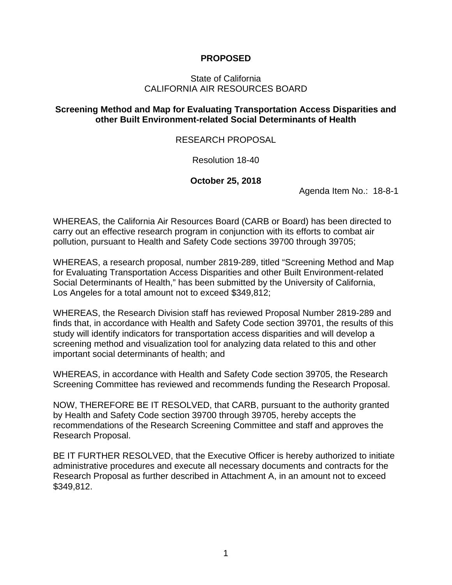### **PROPOSED**

### State of California CALIFORNIA AIR RESOURCES BOARD

### **Screening Method and Map for Evaluating Transportation Access Disparities and other Built Environment-related Social Determinants of Health**

### RESEARCH PROPOSAL

Resolution 18-40

### **October 25, 2018**

Agenda Item No.: 18-8-1

WHEREAS, the California Air Resources Board (CARB or Board) has been directed to carry out an effective research program in conjunction with its efforts to combat air pollution, pursuant to Health and Safety Code sections 39700 through 39705;

WHEREAS, a research proposal, number 2819-289, titled "Screening Method and Map for Evaluating Transportation Access Disparities and other Built Environment-related Social Determinants of Health," has been submitted by the University of California, Los Angeles for a total amount not to exceed \$349,812;

WHEREAS, the Research Division staff has reviewed Proposal Number 2819-289 and finds that, in accordance with Health and Safety Code section 39701, the results of this study will identify indicators for transportation access disparities and will develop a screening method and visualization tool for analyzing data related to this and other important social determinants of health; and

WHEREAS, in accordance with Health and Safety Code section 39705, the Research Screening Committee has reviewed and recommends funding the Research Proposal.

NOW, THEREFORE BE IT RESOLVED, that CARB, pursuant to the authority granted by Health and Safety Code section 39700 through 39705, hereby accepts the recommendations of the Research Screening Committee and staff and approves the Research Proposal.

BE IT FURTHER RESOLVED, that the Executive Officer is hereby authorized to initiate administrative procedures and execute all necessary documents and contracts for the Research Proposal as further described in Attachment A, in an amount not to exceed \$349,812.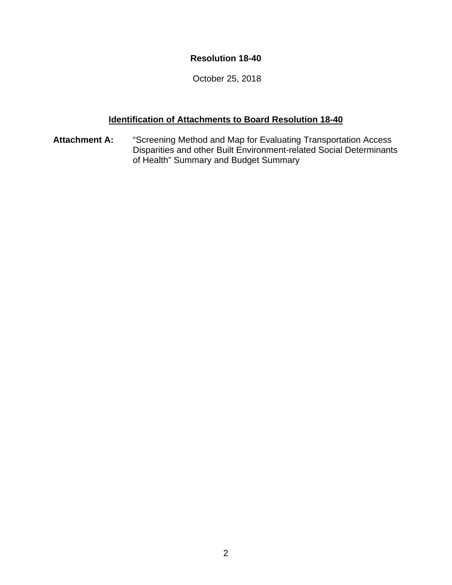### **Resolution 18-40**

October 25, 2018

### **Identification of Attachments to Board Resolution 18-40**

**Attachment A:** "Screening Method and Map for Evaluating Transportation Access Disparities and other Built Environment-related Social Determinants of Health" Summary and Budget Summary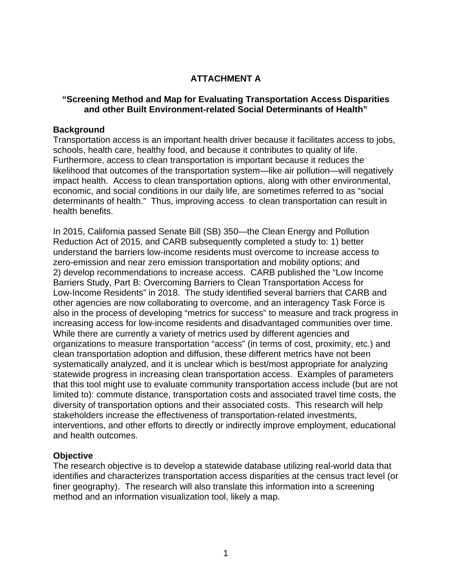## **ATTACHMENT A**

### **"Screening Method and Map for Evaluating Transportation Access Disparities and other Built Environment-related Social Determinants of Health"**

### **Background**

Transportation access is an important health driver because it facilitates access to jobs, schools, health care, healthy food, and because it contributes to quality of life. Furthermore, access to clean transportation is important because it reduces the likelihood that outcomes of the transportation system—like air pollution—will negatively impact health. Access to clean transportation options, along with other environmental, economic, and social conditions in our daily life, are sometimes referred to as "social determinants of health." Thus, improving access to clean transportation can result in health benefits.

In 2015, California passed Senate Bill (SB) 350—the Clean Energy and Pollution Reduction Act of 2015, and CARB subsequently completed a study to: 1) better understand the barriers low-income residents must overcome to increase access to zero-emission and near zero emission transportation and mobility options; and 2) develop recommendations to increase access. CARB published the "Low Income Barriers Study, Part B: Overcoming Barriers to Clean Transportation Access for Low-Income Residents" in 2018. The study identified several barriers that CARB and other agencies are now collaborating to overcome, and an interagency Task Force is also in the process of developing "metrics for success" to measure and track progress in increasing access for low-income residents and disadvantaged communities over time. While there are currently a variety of metrics used by different agencies and organizations to measure transportation "access" (in terms of cost, proximity, etc.) and clean transportation adoption and diffusion, these different metrics have not been systematically analyzed, and it is unclear which is best/most appropriate for analyzing statewide progress in increasing clean transportation access. Examples of parameters that this tool might use to evaluate community transportation access include (but are not limited to): commute distance, transportation costs and associated travel time costs, the diversity of transportation options and their associated costs. This research will help stakeholders increase the effectiveness of transportation-related investments, interventions, and other efforts to directly or indirectly improve employment, educational and health outcomes.

### **Objective**

The research objective is to develop a statewide database utilizing real-world data that identifies and characterizes transportation access disparities at the census tract level (or finer geography). The research will also translate this information into a screening method and an information visualization tool, likely a map.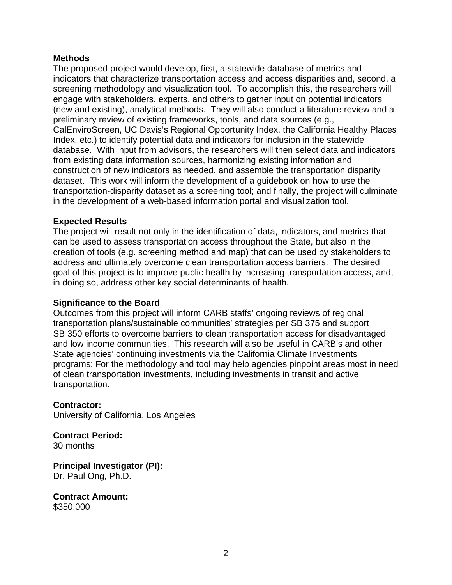### **Methods**

The proposed project would develop, first, a statewide database of metrics and indicators that characterize transportation access and access disparities and, second, a screening methodology and visualization tool. To accomplish this, the researchers will engage with stakeholders, experts, and others to gather input on potential indicators (new and existing), analytical methods. They will also conduct a literature review and a preliminary review of existing frameworks, tools, and data sources (e.g., CalEnviroScreen, UC Davis's Regional Opportunity Index, the California Healthy Places Index, etc.) to identify potential data and indicators for inclusion in the statewide database. With input from advisors, the researchers will then select data and indicators from existing data information sources, harmonizing existing information and construction of new indicators as needed, and assemble the transportation disparity dataset. This work will inform the development of a guidebook on how to use the transportation-disparity dataset as a screening tool; and finally, the project will culminate in the development of a web-based information portal and visualization tool.

### **Expected Results**

The project will result not only in the identification of data, indicators, and metrics that can be used to assess transportation access throughout the State, but also in the creation of tools (e.g. screening method and map) that can be used by stakeholders to address and ultimately overcome clean transportation access barriers. The desired goal of this project is to improve public health by increasing transportation access, and, in doing so, address other key social determinants of health.

#### **Significance to the Board**

Outcomes from this project will inform CARB staffs' ongoing reviews of regional transportation plans/sustainable communities' strategies per SB 375 and support SB 350 efforts to overcome barriers to clean transportation access for disadvantaged and low income communities. This research will also be useful in CARB's and other State agencies' continuing investments via the California Climate Investments programs: For the methodology and tool may help agencies pinpoint areas most in need of clean transportation investments, including investments in transit and active transportation.

#### **Contractor:**

University of California, Los Angeles

**Contract Period:** 30 months

**Principal Investigator (PI):** Dr. Paul Ong, Ph.D.

**Contract Amount:** \$350,000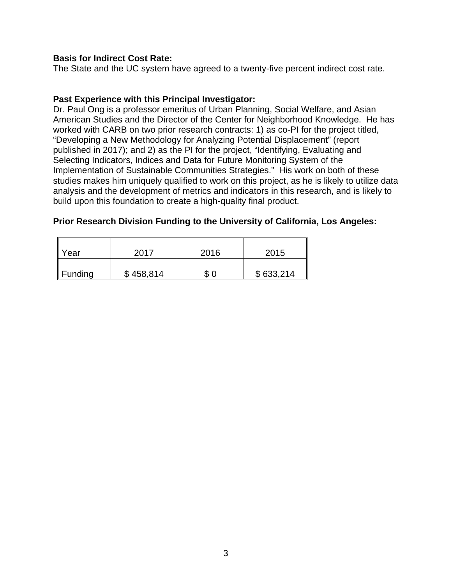### **Basis for Indirect Cost Rate:**

The State and the UC system have agreed to a twenty-five percent indirect cost rate.

### **Past Experience with this Principal Investigator:**

Dr. Paul Ong is a professor emeritus of Urban Planning, Social Welfare, and Asian American Studies and the Director of the Center for Neighborhood Knowledge. He has worked with CARB on two prior research contracts: 1) as co-PI for the project titled, "Developing a New Methodology for Analyzing Potential Displacement" (report published in 2017); and 2) as the PI for the project, "Identifying, Evaluating and Selecting Indicators, Indices and Data for Future Monitoring System of the Implementation of Sustainable Communities Strategies." His work on both of these studies makes him uniquely qualified to work on this project, as he is likely to utilize data analysis and the development of metrics and indicators in this research, and is likely to build upon this foundation to create a high-quality final product.

### **Prior Research Division Funding to the University of California, Los Angeles:**

| Year                | 2017      | 2016 | 2015      |
|---------------------|-----------|------|-----------|
| $\parallel$ Funding | \$458,814 | \$0  | \$633,214 |